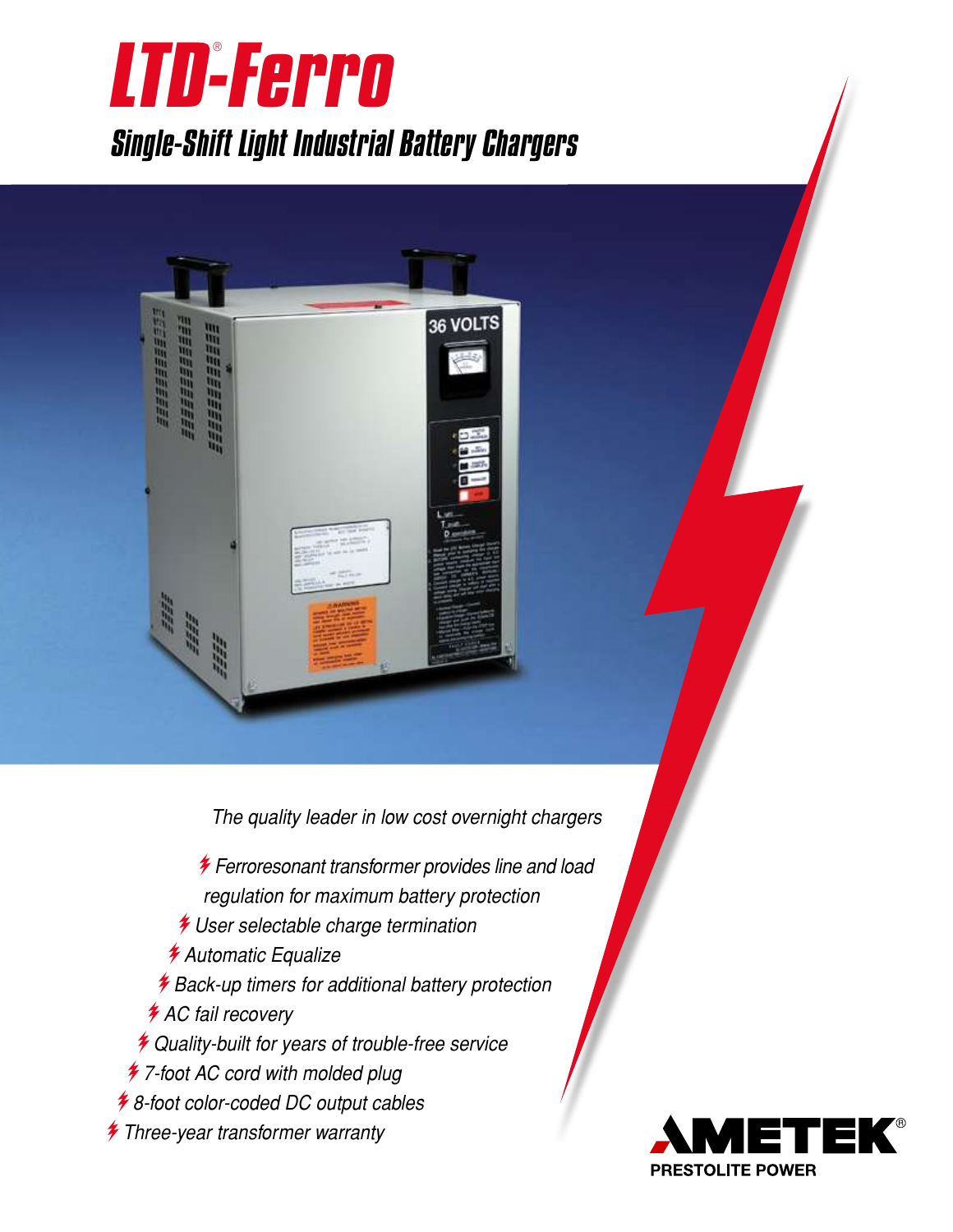



The quality leader in low cost overnight chargers

 $*$  Ferroresonant transformer provides line and load regulation for maximum battery protection  $*$  User selectable charge termination *\** Automatic Equalize  $*$  Back-up timers for additional battery protection *\** AC fail recovery  $*$  Quality-built for years of trouble-free service  $*$  7-foot AC cord with molded plug  $*$  8-foot color-coded DC output cables  $*$  Three-year transformer warranty